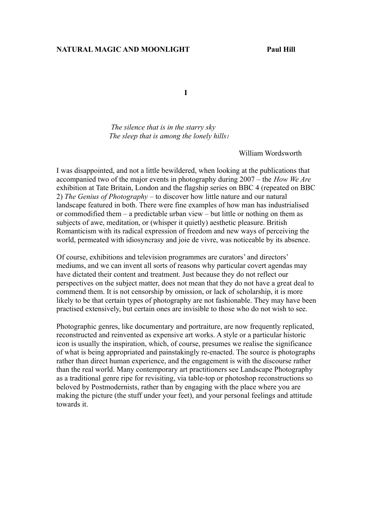## **NATURAL MAGIC AND MOONLIGHT Paul Hill**

**I**

 *The silence that is in the starry sky The sleep that is among the lonely hills<sup>1</sup>*

William Wordsworth

I was disappointed, and not a little bewildered, when looking at the publications that accompanied two of the major events in photography during 2007 – the *How We Are* exhibition at Tate Britain, London and the flagship series on BBC 4 (repeated on BBC 2) *The Genius of Photography –* to discover how little nature and our natural landscape featured in both. There were fine examples of how man has industrialised or commodified them – a predictable urban view – but little or nothing on them as subjects of awe, meditation, or (whisper it quietly) aesthetic pleasure. British Romanticism with its radical expression of freedom and new ways of perceiving the world, permeated with idiosyncrasy and joie de vivre, was noticeable by its absence.

Of course, exhibitions and television programmes are curators' and directors' mediums, and we can invent all sorts of reasons why particular covert agendas may have dictated their content and treatment. Just because they do not reflect our perspectives on the subject matter, does not mean that they do not have a great deal to commend them. It is not censorship by omission, or lack of scholarship, it is more likely to be that certain types of photography are not fashionable. They may have been practised extensively, but certain ones are invisible to those who do not wish to see.

Photographic genres, like documentary and portraiture, are now frequently replicated, reconstructed and reinvented as expensive art works. A style or a particular historic icon is usually the inspiration, which, of course, presumes we realise the significance of what is being appropriated and painstakingly re-enacted. The source is photographs rather than direct human experience, and the engagement is with the discourse rather than the real world. Many contemporary art practitioners see Landscape Photography as a traditional genre ripe for revisiting, via table-top or photoshop reconstructions so beloved by Postmodernists, rather than by engaging with the place where you are making the picture (the stuff under your feet), and your personal feelings and attitude towards it.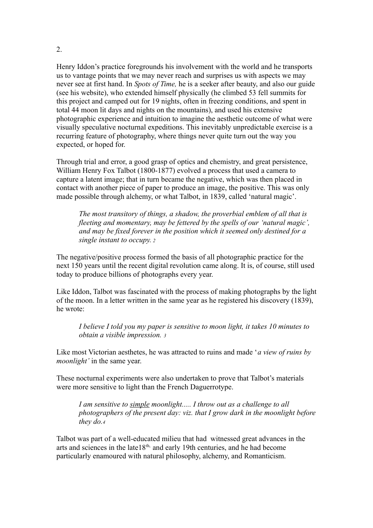Henry Iddon's practice foregrounds his involvement with the world and he transports us to vantage points that we may never reach and surprises us with aspects we may never see at first hand. In *Spots of Time,* he is a seeker after beauty, and also our guide (see his website), who extended himself physically (he climbed 53 fell summits for this project and camped out for 19 nights, often in freezing conditions, and spent in total 44 moon lit days and nights on the mountains), and used his extensive photographic experience and intuition to imagine the aesthetic outcome of what were visually speculative nocturnal expeditions. This inevitably unpredictable exercise is a recurring feature of photography, where things never quite turn out the way you expected, or hoped for.

Through trial and error, a good grasp of optics and chemistry, and great persistence, William Henry Fox Talbot (1800-1877) evolved a process that used a camera to capture a latent image; that in turn became the negative, which was then placed in contact with another piece of paper to produce an image, the positive. This was only made possible through alchemy, or what Talbot, in 1839, called 'natural magic'.

*The most transitory of things, a shadow, the proverbial emblem of all that is fleeting and momentary, may be fettered by the spells of our 'natural magic', and may be fixed forever in the position which it seemed only destined for a single instant to occupy.<sup>2</sup>*

The negative/positive process formed the basis of all photographic practice for the next 150 years until the recent digital revolution came along. It is, of course, still used today to produce billions of photographs every year.

Like Iddon, Talbot was fascinated with the process of making photographs by the light of the moon. In a letter written in the same year as he registered his discovery (1839), he wrote:

*I believe I told you my paper is sensitive to moon light, it takes 10 minutes to obtain a visible impression. <sup>3</sup>*

Like most Victorian aesthetes, he was attracted to ruins and made '*a view of ruins by moonlight'* in the same year.

These nocturnal experiments were also undertaken to prove that Talbot's materials were more sensitive to light than the French Daguerrotype.

*I am sensitive to simple moonlight..... I throw out as a challenge to all photographers of the present day: viz. that I grow dark in the moonlight before they do.<sup>4</sup>*

Talbot was part of a well-educated milieu that had witnessed great advances in the arts and sciences in the late18<sup>th,</sup> and early 19th centuries, and he had become particularly enamoured with natural philosophy, alchemy, and Romanticism.

2.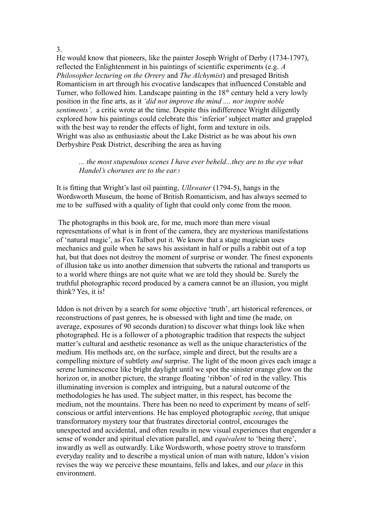3.

He would know that pioneers, like the painter Joseph Wright of Derby (1734-1797), reflected the Enlightenment in his paintings of scientific experiments (e.g. *A Philosopher lecturing on the Orrery* and *The Alchymist*) and presaged British Romanticism in art through his evocative landscapes that influenced Constable and Turner, who followed him. Landscape painting in the  $18<sup>th</sup>$  century held a very lowly position in the fine arts, as it *'did not improve the mind .... nor inspire noble sentiments',* a critic wrote at the time. Despite this indifference Wright diligently explored how his paintings could celebrate this 'inferior' subject matter and grappled with the best way to render the effects of light, form and texture in oils. Wright was also as enthusiastic about the Lake District as he was about his own Derbyshire Peak District, describing the area as having

*... the most stupendous scenes I have ever beheld...they are to the eye what Handel's choruses are to the ear.<sup>5</sup>*

It is fitting that Wright's last oil painting, *Ullswater* (1794-5), hangs in the Wordsworth Museum, the home of British Romanticism, and has always seemed to me to be suffused with a quality of light that could only come from the moon.

 The photographs in this book are, for me, much more than mere visual representations of what is in front of the camera, they are mysterious manifestations of 'natural magic', as Fox Talbot put it. We know that a stage magician uses mechanics and guile when he saws his assistant in half or pulls a rabbit out of a top hat, but that does not destroy the moment of surprise or wonder. The finest exponents of illusion take us into another dimension that subverts the rational and transports us to a world where things are not quite what we are told they should be. Surely the truthful photographic record produced by a camera cannot be an illusion, you might think? Yes, it is!

Iddon is not driven by a search for some objective 'truth', art historical references, or reconstructions of past genres, he is obsessed with light and time (he made, on average, exposures of 90 seconds duration) to discover what things look like when photographed. He is a follower of a photographic tradition that respects the subject matter's cultural and aesthetic resonance as well as the unique characteristics of the medium. His methods are, on the surface, simple and direct, but the results are a compelling mixture of subtlety *and* surprise. The light of the moon gives each image a serene luminescence like bright daylight until we spot the sinister orange glow on the horizon or, in another picture, the strange floating 'ribbon' of red in the valley. This illuminating inversion is complex and intriguing, but a natural outcome of the methodologies he has used. The subject matter, in this respect, has become the medium, not the mountains. There has been no need to experiment by means of selfconscious or artful interventions. He has employed photographic *seeing*, that unique transformatory mystery tour that frustrates directorial control, encourages the unexpected and accidental, and often results in new visual experiences that engender a sense of wonder and spiritual elevation parallel, and *equivalent* to 'being there', inwardly as well as outwardly. Like Wordsworth, whose poetry strove to transform everyday reality and to describe a mystical union of man with nature, Iddon's vision revises the way we perceive these mountains, fells and lakes, and our *place* in this environment.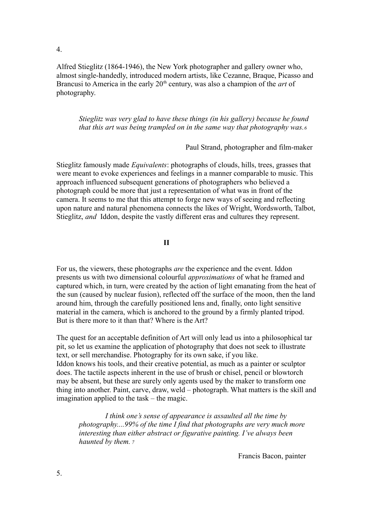4.

Alfred Stieglitz (1864-1946), the New York photographer and gallery owner who, almost single-handedly, introduced modern artists, like Cezanne, Braque, Picasso and Brancusi to America in the early 20<sup>th</sup> century, was also a champion of the *art* of photography.

*Stieglitz was very glad to have these things (in his gallery) because he found that this art was being trampled on in the same way that photography was.<sup>6</sup>*

Paul Strand, photographer and film-maker

Stieglitz famously made *Equivalents*: photographs of clouds, hills, trees, grasses that were meant to evoke experiences and feelings in a manner comparable to music. This approach influenced subsequent generations of photographers who believed a photograph could be more that just a representation of what was in front of the camera. It seems to me that this attempt to forge new ways of seeing and reflecting upon nature and natural phenomena connects the likes of Wright, Wordsworth, Talbot, Stieglitz, *and* Iddon, despite the vastly different eras and cultures they represent.

**II**

For us, the viewers, these photographs *are* the experience and the event. Iddon presents us with two dimensional colourful *approximations* of what he framed and captured which, in turn, were created by the action of light emanating from the heat of the sun (caused by nuclear fusion), reflected off the surface of the moon, then the land around him, through the carefully positioned lens and, finally, onto light sensitive material in the camera, which is anchored to the ground by a firmly planted tripod. But is there more to it than that? Where is the Art?

The quest for an acceptable definition of Art will only lead us into a philosophical tar pit, so let us examine the application of photography that does not seek to illustrate text, or sell merchandise. Photography for its own sake, if you like. Iddon knows his tools, and their creative potential, as much as a painter or sculptor does. The tactile aspects inherent in the use of brush or chisel, pencil or blowtorch may be absent, but these are surely only agents used by the maker to transform one thing into another. Paint, carve, draw, weld – photograph. What matters is the skill and imagination applied to the task – the magic.

 *I think one's sense of appearance is assaulted all the time by photography....99% of the time I find that photographs are very much more interesting than either abstract or figurative painting. I've always been haunted by them.<sup>7</sup>*

Francis Bacon, painter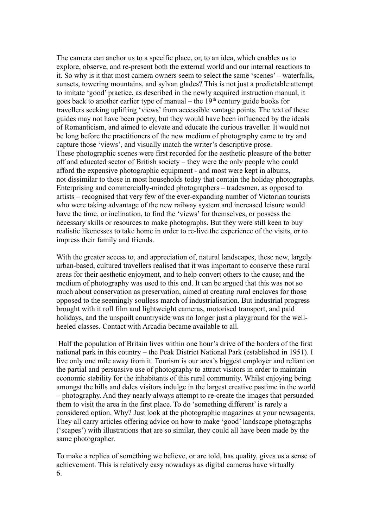The camera can anchor us to a specific place, or, to an idea, which enables us to explore, observe, and re-present both the external world and our internal reactions to it. So why is it that most camera owners seem to select the same 'scenes' – waterfalls, sunsets, towering mountains, and sylvan glades? This is not just a predictable attempt to imitate 'good' practice, as described in the newly acquired instruction manual, it goes back to another earlier type of manual – the  $19<sup>th</sup>$  century guide books for travellers seeking uplifting 'views' from accessible vantage points. The text of these guides may not have been poetry, but they would have been influenced by the ideals of Romanticism, and aimed to elevate and educate the curious traveller. It would not be long before the practitioners of the new medium of photography came to try and capture those 'views', and visually match the writer's descriptive prose. These photographic scenes were first recorded for the aesthetic pleasure of the better off and educated sector of British society – they were the only people who could afford the expensive photographic equipment - and most were kept in albums, not dissimilar to those in most households today that contain the holiday photographs. Enterprising and commercially-minded photographers – tradesmen, as opposed to artists – recognised that very few of the ever-expanding number of Victorian tourists who were taking advantage of the new railway system and increased leisure would have the time, or inclination, to find the 'views' for themselves, or possess the necessary skills or resources to make photographs. But they were still keen to buy realistic likenesses to take home in order to re-live the experience of the visits, or to impress their family and friends.

With the greater access to, and appreciation of, natural landscapes, these new, largely urban-based, cultured travellers realised that it was important to conserve these rural areas for their aesthetic enjoyment, and to help convert others to the cause; and the medium of photography was used to this end. It can be argued that this was not so much about conservation as preservation, aimed at creating rural enclaves for those opposed to the seemingly soulless march of industrialisation. But industrial progress brought with it roll film and lightweight cameras, motorised transport, and paid holidays, and the unspoilt countryside was no longer just a playground for the wellheeled classes. Contact with Arcadia became available to all.

Half the population of Britain lives within one hour's drive of the borders of the first national park in this country – the Peak District National Park (established in 1951). I live only one mile away from it. Tourism is our area's biggest employer and reliant on the partial and persuasive use of photography to attract visitors in order to maintain economic stability for the inhabitants of this rural community. Whilst enjoying being amongst the hills and dales visitors indulge in the largest creative pastime in the world – photography. And they nearly always attempt to re-create the images that persuaded them to visit the area in the first place. To do 'something different' is rarely a considered option. Why? Just look at the photographic magazines at your newsagents. They all carry articles offering advice on how to make 'good' landscape photographs ('scapes') with illustrations that are so similar, they could all have been made by the same photographer.

To make a replica of something we believe, or are told, has quality, gives us a sense of achievement. This is relatively easy nowadays as digital cameras have virtually 6.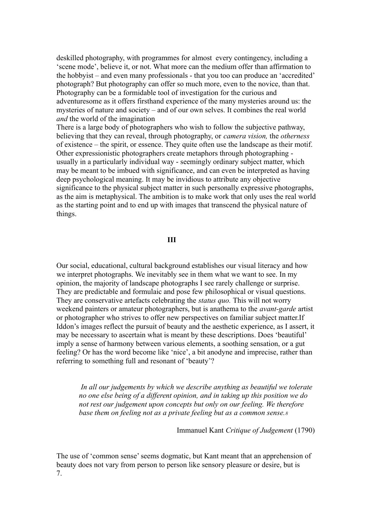deskilled photography, with programmes for almost every contingency, including a 'scene mode', believe it, or not. What more can the medium offer than affirmation to the hobbyist – and even many professionals - that you too can produce an 'accredited' photograph? But photography can offer so much more, even to the novice, than that. Photography can be a formidable tool of investigation for the curious and adventuresome as it offers firsthand experience of the many mysteries around us: the mysteries of nature and society – and of our own selves. It combines the real world *and* the world of the imagination

There is a large body of photographers who wish to follow the subjective pathway, believing that they can reveal, through photography, or *camera vision,* the *otherness* of existence – the spirit, or essence. They quite often use the landscape as their motif. Other expressionistic photographers create metaphors through photographing usually in a particularly individual way - seemingly ordinary subject matter, which may be meant to be imbued with significance, and can even be interpreted as having deep psychological meaning. It may be invidious to attribute any objective significance to the physical subject matter in such personally expressive photographs, as the aim is metaphysical. The ambition is to make work that only uses the real world as the starting point and to end up with images that transcend the physical nature of things.

## **III**

Our social, educational, cultural background establishes our visual literacy and how we interpret photographs. We inevitably see in them what we want to see. In my opinion, the majority of landscape photographs I see rarely challenge or surprise. They are predictable and formulaic and pose few philosophical or visual questions. They are conservative artefacts celebrating the *status quo.* This will not worry weekend painters or amateur photographers, but is anathema to the *avant-garde* artist or photographer who strives to offer new perspectives on familiar subject matter.If Iddon's images reflect the pursuit of beauty and the aesthetic experience, as I assert, it may be necessary to ascertain what is meant by these descriptions. Does 'beautiful' imply a sense of harmony between various elements, a soothing sensation, or a gut feeling? Or has the word become like 'nice', a bit anodyne and imprecise, rather than referring to something full and resonant of 'beauty'?

*In all our judgements by which we describe anything as beautiful we tolerate no one else being of a different opinion, and in taking up this position we do not rest our judgement upon concepts but only on our feeling. We therefore base them on feeling not as a private feeling but as a common sense.<sup>8</sup>*

Immanuel Kant *Critique of Judgement* (1790)

The use of 'common sense' seems dogmatic, but Kant meant that an apprehension of beauty does not vary from person to person like sensory pleasure or desire, but is 7.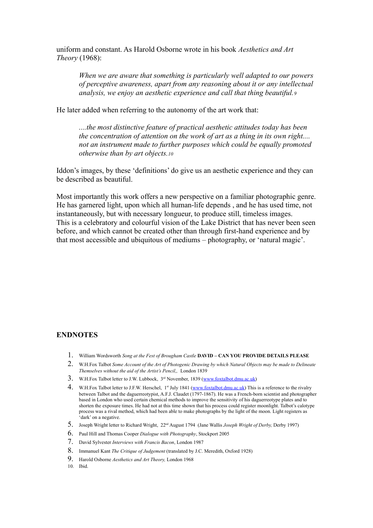uniform and constant. As Harold Osborne wrote in his book *Aesthetics and Art Theory* (1968):

*When we are aware that something is particularly well adapted to our powers of perceptive awareness, apart from any reasoning about it or any intellectual analysis, we enjoy an aesthetic experience and call that thing beautiful.<sup>9</sup>* 

He later added when referring to the autonomy of the art work that:

*....the most distinctive feature of practical aesthetic attitudes today has been the concentration of attention on the work of art as a thing in its own right.... not an instrument made to further purposes which could be equally promoted otherwise than by art objects.<sup>10</sup>*

Iddon's images, by these 'definitions' do give us an aesthetic experience and they can be described as beautiful.

Most importantly this work offers a new perspective on a familiar photographic genre. He has garnered light, upon which all human-life depends , and he has used time, not instantaneously, but with necessary longueur, to produce still, timeless images. This is a celebratory and colourful vision of the Lake District that has never been seen before, and which cannot be created other than through first-hand experience and by that most accessible and ubiquitous of mediums – photography, or 'natural magic'.

## **ENDNOTES**

- 1. William Wordsworth *Song at the Fest of Brougham Castle* **DAVID CAN YOU PROVIDE DETAILS PLEASE**
- 2. W.H.Fox Talbot *Some Account of the Art of Photogenic Drawing by which Natural Objects may be made to Delineate Themselves without the aid of the Artist's Pencil,,* London 1839
- 3. W.H.Fox Talbot letter to J.W. Lubbock, 3<sup>rd</sup> November, 1839 [\(www.foxtalbot.dmu.ac.uk\)](http://www.foxtalbot.dmu.ac.uk/)
- 4. W.H.Fox Talbot letter to J.F.W. Herschel, 1<sup>st</sup> July 1841 [\(www.foxtalbot.dmu.ac.uk\)](http://www.foxtalbot.dmu.ac.uk/) This is a reference to the rivalry between Talbot and the daguerreotypist, A.F.J. Claudet (1797-1867). He was a French-born scientist and photographer based in London who used certain chemical methods to improve the sensitivity of his daguerreotype plates and to shorten the exposure times. He had not at this time shown that his process could register moonlight. Talbot's calotype process was a rival method, which had been able to make photographs by the light of the moon. Light registers as 'dark' on a negative.
- 5. Joseph Wright letter to Richard Wright, 22nd August 1794 (Jane Wallis *Joseph Wright of Derby,* Derby 1997)
- 6. Paul Hill and Thomas Cooper *Dialogue with Photography*, Stockport 2005
- 7. David Sylvester *Interviews with Francis Bacon*, London 1987
- 8. Immanuel Kant *The Critique of Judgement* (translated by J.C. Meredith, Oxford 1928)
- 9. Harold Osborne *Aesthetics and Art Theory,* London 1968
- 10. Ibid.